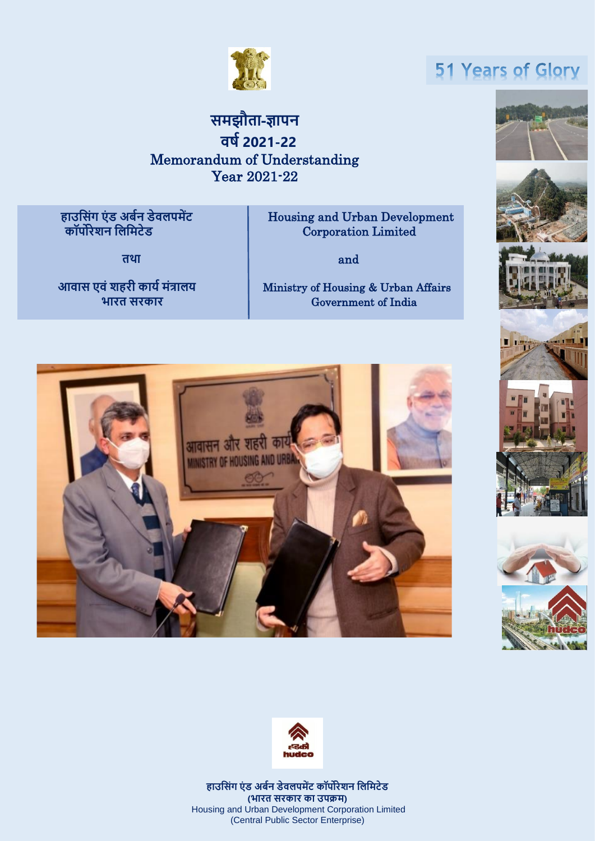

## **मझौता-ज्ञापन वर्ब2021-22** Memorandum of Understanding Year 2021-22

 **कॉपोरेशन सलसमटेड** Corporation Limited **Flousing and Urban Development**<br>Corporation Limited

**तथा** and

**आवा एविं शहरी कार्ब मिंत्रालर्** Ministry of Housing & Urban Affairs **भारत रकार** Government of India





**हाउस िंग एिं ड अर्बन डेवलपमेंट कॉपोरेशन सलसमटेड (भारत रकार का उपक्रम)** Housing and Urban Development Corporation Limited (Central Public Sector Enterprise)

# 51 Years of Glory







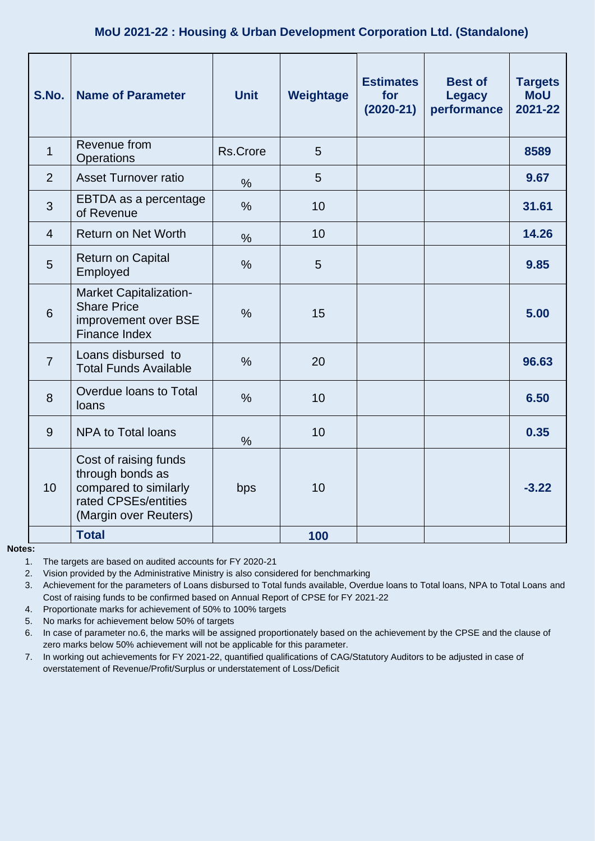### **MoU 2021-22 : Housing & Urban Development Corporation Ltd. (Standalone)**

| S.No.          | <b>Name of Parameter</b>                                                                                            | <b>Unit</b>   | Weightage | <b>Estimates</b><br>for<br>$(2020-21)$ | <b>Best of</b><br><b>Legacy</b><br>performance | <b>Targets</b><br><b>MoU</b><br>2021-22 |
|----------------|---------------------------------------------------------------------------------------------------------------------|---------------|-----------|----------------------------------------|------------------------------------------------|-----------------------------------------|
| $\mathbf{1}$   | Revenue from<br>Operations                                                                                          | Rs.Crore      | 5         |                                        |                                                | 8589                                    |
| 2              | <b>Asset Turnover ratio</b>                                                                                         | $\frac{0}{0}$ | 5         |                                        |                                                | 9.67                                    |
| 3              | EBTDA as a percentage<br>of Revenue                                                                                 | $\frac{0}{0}$ | 10        |                                        |                                                | 31.61                                   |
| $\overline{4}$ | <b>Return on Net Worth</b>                                                                                          | $\%$          | 10        |                                        |                                                | 14.26                                   |
| 5              | <b>Return on Capital</b><br>Employed                                                                                | $\frac{0}{0}$ | 5         |                                        |                                                | 9.85                                    |
| 6              | <b>Market Capitalization-</b><br><b>Share Price</b><br>improvement over BSE<br>Finance Index                        | $\frac{0}{0}$ | 15        |                                        |                                                | 5.00                                    |
| $\overline{7}$ | Loans disbursed to<br><b>Total Funds Available</b>                                                                  | $\%$          | 20        |                                        |                                                | 96.63                                   |
| 8              | Overdue loans to Total<br>loans                                                                                     | $\frac{0}{0}$ | 10        |                                        |                                                | 6.50                                    |
| 9              | <b>NPA to Total loans</b>                                                                                           | $\frac{0}{0}$ | 10        |                                        |                                                | 0.35                                    |
| 10             | Cost of raising funds<br>through bonds as<br>compared to similarly<br>rated CPSEs/entities<br>(Margin over Reuters) | bps           | 10        |                                        |                                                | $-3.22$                                 |
|                | <b>Total</b>                                                                                                        |               | 100       |                                        |                                                |                                         |

### **Notes:**

1. The targets are based on audited accounts for FY 2020-21

2. Vision provided by the Administrative Ministry is also considered for benchmarking

3. Achievement for the parameters of Loans disbursed to Total funds available, Overdue loans to Total loans, NPA to Total Loans and Cost of raising funds to be confirmed based on Annual Report of CPSE for FY 2021-22

4. Proportionate marks for achievement of 50% to 100% targets

5. No marks for achievement below 50% of targets

6. In case of parameter no.6, the marks will be assigned proportionately based on the achievement by the CPSE and the clause of zero marks below 50% achievement will not be applicable for this parameter.

7. In working out achievements for FY 2021-22, quantified qualifications of CAG/Statutory Auditors to be adjusted in case of overstatement of Revenue/Profit/Surplus or understatement of Loss/Deficit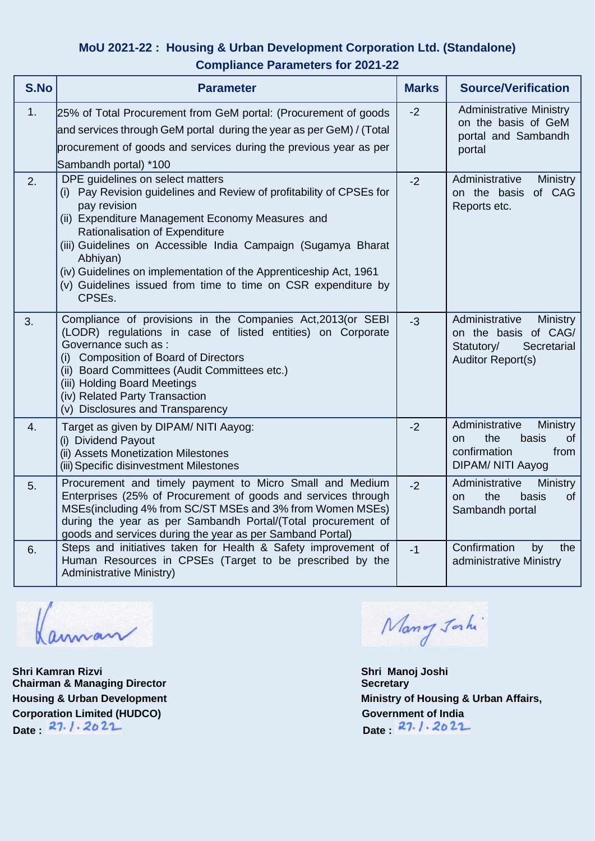### **MoU 2021-22 : Housing & Urban Development Corporation Ltd. (Standalone) Compliance Parameters for 2021-22**

| S.No | <b>Parameter</b>                                                                                                                                                                                                                                                                                                                                                                                                                            | <b>Marks</b> | <b>Source/Verification</b>                                                                                        |
|------|---------------------------------------------------------------------------------------------------------------------------------------------------------------------------------------------------------------------------------------------------------------------------------------------------------------------------------------------------------------------------------------------------------------------------------------------|--------------|-------------------------------------------------------------------------------------------------------------------|
| 1.   | 25% of Total Procurement from GeM portal: (Procurement of goods<br>and services through GeM portal during the year as per GeM) / (Total<br>procurement of goods and services during the previous year as per<br>Sambandh portal) *100                                                                                                                                                                                                       | $-2$         | <b>Administrative Ministry</b><br>on the basis of GeM<br>portal and Sambandh<br>portal                            |
| 2.   | DPE guidelines on select matters<br>(i) Pay Revision guidelines and Review of profitability of CPSEs for<br>pay revision<br>(ii) Expenditure Management Economy Measures and<br>Rationalisation of Expenditure<br>(iii) Guidelines on Accessible India Campaign (Sugamya Bharat<br>Abhiyan)<br>(iv) Guidelines on implementation of the Apprenticeship Act, 1961<br>(v) Guidelines issued from time to time on CSR expenditure by<br>CPSEs. | $-2$         | Administrative<br>Ministry<br>on the basis<br>of CAG<br>Reports etc.                                              |
| 3.   | Compliance of provisions in the Companies Act, 2013 (or SEBI<br>(LODR) regulations in case of listed entities) on Corporate<br>Governance such as :<br>(i) Composition of Board of Directors<br>(ii) Board Committees (Audit Committees etc.)<br>(iii) Holding Board Meetings<br>(iv) Related Party Transaction<br>(v) Disclosures and Transparency                                                                                         | $-3$         | Administrative<br>Ministry<br>on the basis of CAG/<br>Statutory/<br>Secretarial<br><b>Auditor Report(s)</b>       |
| 4.   | Target as given by DIPAM/ NITI Aayog:<br>(i) Dividend Payout<br>(ii) Assets Monetization Milestones<br>(iii) Specific disinvestment Milestones                                                                                                                                                                                                                                                                                              | $-2$         | Administrative<br><b>Ministry</b><br>the<br>basis<br>of<br><b>on</b><br>confirmation<br>from<br>DIPAM/ NITI Aayog |
| 5.   | Procurement and timely payment to Micro Small and Medium<br>Enterprises (25% of Procurement of goods and services through<br>MSEs(including 4% from SC/ST MSEs and 3% from Women MSEs)<br>during the year as per Sambandh Portal/(Total procurement of<br>goods and services during the year as per Samband Portal)                                                                                                                         | $-2$         | Administrative<br>Ministry<br>the<br><b>of</b><br>basis<br><b>on</b><br>Sambandh portal                           |
| 6.   | Steps and initiatives taken for Health & Safety improvement of<br>Human Resources in CPSEs (Target to be prescribed by the<br><b>Administrative Ministry)</b>                                                                                                                                                                                                                                                                               | $-1$         | Confirmation<br>the<br>by<br>administrative Ministry                                                              |

Kannan

**Shri Kamran Rizvi Chairman & Managing Director Corporation Limited (HUDCO)** Government of India<br>Date: 27. *1*. 20 21 Date 27.1.2022

Mang Jahi

**Shri Manoj Joshi Secretary Housing & Urban Development Constrainers and Ministry of Housing & Urban Affairs,**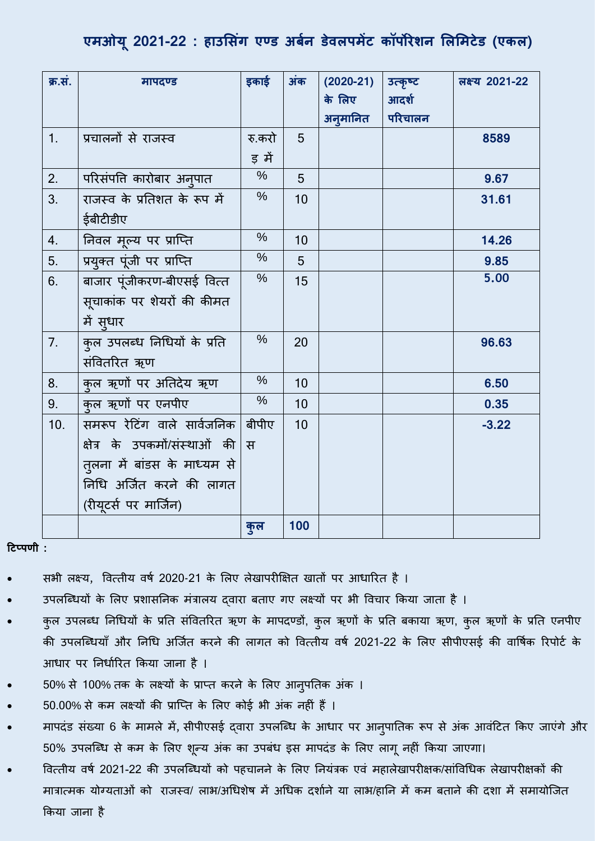### **एमओय ू 2021-22 : हाउलसंग एण्ड अर्शन डेविपमेंट कॉपोिेर्न लिलमटेड (एकि)**

| क्र.सं. | मापदण्ड                       | इकाई          | अंक | $(2020-21)$ | उत्कृष्ट | लक्ष्य 2021-22 |
|---------|-------------------------------|---------------|-----|-------------|----------|----------------|
|         |                               |               |     | के लिए      | आदर्श    |                |
|         |                               |               |     | अनुमानित    | परिचालन  |                |
| 1.      | प्रचालनों से राजस्व           | रु.करो        | 5   |             |          | 8589           |
|         |                               | ड़ में        |     |             |          |                |
| 2.      | परिसंपत्ति कारोबार अन् पात    | $\frac{0}{0}$ | 5   |             |          | 9.67           |
| 3.      | राजस्व के प्रतिशत के रूप में  | $\%$          | 10  |             |          | 31.61          |
|         | ईबीटीडीए                      |               |     |             |          |                |
| 4.      | निवल मूल्य पर प्राप्ति        | $\frac{0}{0}$ | 10  |             |          | 14.26          |
| 5.      | प्रयुक्त पूंजी पर प्राप्ति    | $\%$          | 5   |             |          | 9.85           |
| 6.      | बाजार पूंजीकरण-बीएसई वित्त    | $\%$          | 15  |             |          | 5.00           |
|         | सूचाकांक पर शेयरों की कीमत    |               |     |             |          |                |
|         | में सुधार                     |               |     |             |          |                |
| 7.      | कुल उपलब्ध निधियों के प्रति   | $\frac{0}{0}$ | 20  |             |          | 96.63          |
|         | संवितरित ऋण                   |               |     |             |          |                |
| 8.      | कुल ऋणों पर अतिदेय ऋण         | $\frac{0}{0}$ | 10  |             |          | 6.50           |
| 9.      | कुल ऋणों पर एनपीए             | $\frac{0}{0}$ | 10  |             |          | 0.35           |
| 10.     | समरूप रेटिंग वाले सार्वजनिक   | बीपीए         | 10  |             |          | $-3.22$        |
|         | क्षेत्र के उपकमों/संस्थाओं की | स             |     |             |          |                |
|         | तुलना में बांडस के माध्यम से  |               |     |             |          |                |
|         | निधि अर्जित करने की लागत      |               |     |             |          |                |
|         | (रीयूटर्स पर मार्जिन)         |               |     |             |          |                |
|         |                               | कुल           | 100 |             |          |                |

**टिप्पणी :** 

- सभी लक्ष्य, वित्तीय वर्ष 2020-21 के लिए लेखापरीक्षित खातों पर आधारित है ।
- उपलब्धियों के लिए प्रशासनिक मंत्रालय दवारा बताए गए लक्ष्यों पर भी विचार किया जाता है ।
- कुल उपलब्ध निधियों के प्रति संवितरित ऋण के मापदण्डों, कुल ऋणों के प्रति बकाया ऋण, कुल ऋणों के प्रति एनपीए की उपलब्धियाँ और निधि अर्जित करने की लागत को वित्तीय वर्ष 2021-22 के लिए सीपीएसई की वार्षिक रिपोर्ट के आधार पर निर्धारित किया जाना है ।
- 50% से 100% तक के लक्ष्यों के प्राप्त करने के लिए आनुपतिक अंक ।
- 50.00% से कम लक्ष्यों की प्राप्ति के लिए कोई भी अंक नहीं हैं ।
- मापदंड संख्या 6 के मामले में, सीपीएसई द्वारा उपलप्ब्ध के आधार पर आनुपाततक रूप से अकं आवंटटत ककए जाएंगे और 50% उपलप्ब्ध से कम के ललए शून्य अकं का उपबंध इस मापदंड के ललए लागूनहीं ककया जाएगा।
- वित्तीय वर्ष 2021-22 की उपलब्धियों को पहचानने के लिए नियंत्रक एवं महालेखापरीक्षक/सांविधिक लेखापरीक्षकों की मात्रात्मक योग्यताओं को राजस्व/ लाभ/अधिशेष में अधिक दर्शाने या लाभ/हानि में कम बताने की दशा में समायोजित ककया जाना है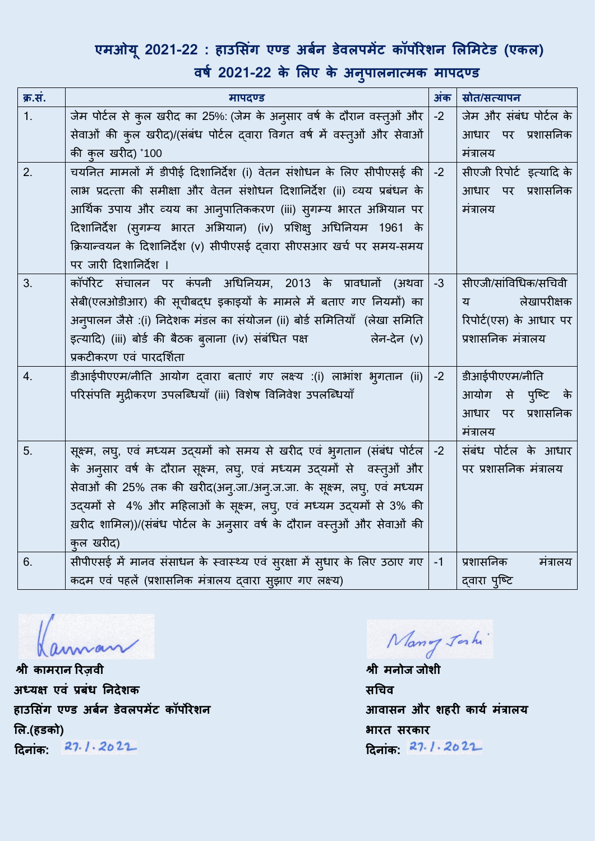### एमओयू 2021-22 : हाउसिंग एण्ड अबेन डेवलपमेंट कॉपोरेशन लिमिटेड (एकल)

**क्र.सं. मापदण् ड अंक स्रोत/सत् यापन**  1. जेम पोटवल सेकुल खरीद का 25%: (जेम के अनुसार वर्व के दौरान वस्तुओं और सेवाओं की कुल खरीद)/(संबंध पोर्टल दवारा विगत वर्ष में वस्तुओं और सेवाओं की कुल खरीद) \* 100 -2 जेम और संबंध पोटवल के आधार पर प्रशासतनक मंत्रालय 2.  $\vert$  चयनित मामलों में डीपीई दिशानिर्देश (i) वेतन संशोधन के लिए सीपीएसई की  $\vert$ लाभ प्रदत्ता की समीक्षा और वेतन संशोधन दिशानिर्देश (ii) व्यय प्रबंधन के आर्थिक उपाय और व्यय का आन्**पातिककरण (iii) स्**गम्य भारत अभियान पर टदशातनदेश (सुगम्य भारत अलभयान) (iv) प्रलशक्षु अधधतनयम 1961 के क्रियान्वयन के दिशानिर्देश (v) सीपीएसई दवारा सीएसआर खर्च पर समय-समय पर जारी टदशातनदेश । -2 सीएजी रिपोर्ट इत्यादि के आधार पर प्रशासतनक मंत्रालय 3. |कॉर्पोरेट संचालन पर कंपनी अधिनियम, 2013 के प्रावधानों (अथवा| सेबी(एलओडीआर) की सूचीबद्ध इकाइयों के मामले में बताए गए तनयमों) का अनुपालन जैसे :(i) निदेशक मंडल का संयोजन (ii) बोर्ड समितियाँ (लेखा समिति इत्यादि) (iii) बोर्ड की बैठक बुलाना (iv) संबंधित पक्ष लिन-देन (v) प्रकटीकरण एवं पारदर्शिता -3 सीएजी/सांत्तवधधक/सधचवी य लेखापरीक्षक रिपोर्ट(एस) के आधार पर प्रशासतनक मंत्रालय 4. | डीआईपीएएम/नीति आयोग दवारा बताएं गए लक्ष्य :(i) लाभांश भृगतान (ii) परिसंपत्ति मुद्रीकरण उपलब्धियाँ (iii) विशेष विनिवेश उपलब्धियाँ -2 डीआईपीएएम/नीतत आयोग से पुप्टट के आधार पर प्रशासतनक मंत्रालय 5. | सूक्ष्म, लघु, एवं मध्यम उदयमों को समय से खरीद एवं भूगतान (संबंध पोर्टल | -2 के अनुसार वर्ष के दौरान सूक्ष्म, लघु, एवं मध्यम उद्यमों से वस्तुओं और सेवाओं की 25% तक की खरीद(अन्.जा./अन्.ज.जा. के सूक्ष्म, लघु, एवं मध्यम उद्यमों से 4% और महिलाओं के सूक्ष्म, लघु, एवं मध्यम उद्यमों से 3% की ख़रीद शालमल))/(संबंध पोटवल के अनुसार वर्व के दौरान वस्तुओं और सेवाओं की कुल खरीद) संबंध पोर्टल के आधार पर प्रशासतनक मंत्रालय 6.  $\boxed{\overline{\mathfrak{R}}}$ सीपीएसई में मानव संसाधन के स्वास्थ्य एवं सुरक्षा में सुधार के लिए उठाए गए  $\boxed{-1}$ कदम एवं पहलें (प्रशासतनक मंत्रालय द्वारा सुझाए गए लक्ष्य) -1 प्रशासतनक मंत्रालय दवारा पुष्टि

**वर्श 2021-22 के लिए के अन ु पािनात्मक मापदण् ड**

 **श्री कामरान ररज़वी श्री मनोज जोशी अध्यक्ष एवं प्रर्ंध ननदेर्क हाउलसंग एण्ड अर्शन डेविपमेंट कॉपोिेर्न लि.(हडको)**   $27.1.2022$ **टदनांक: टदनांक:** 

Mang Jahi

 **सचचव**  आवासन और शहरी कार्य मंत्रालय  **भाित सिकाि** दिनांक: 27.1.2022